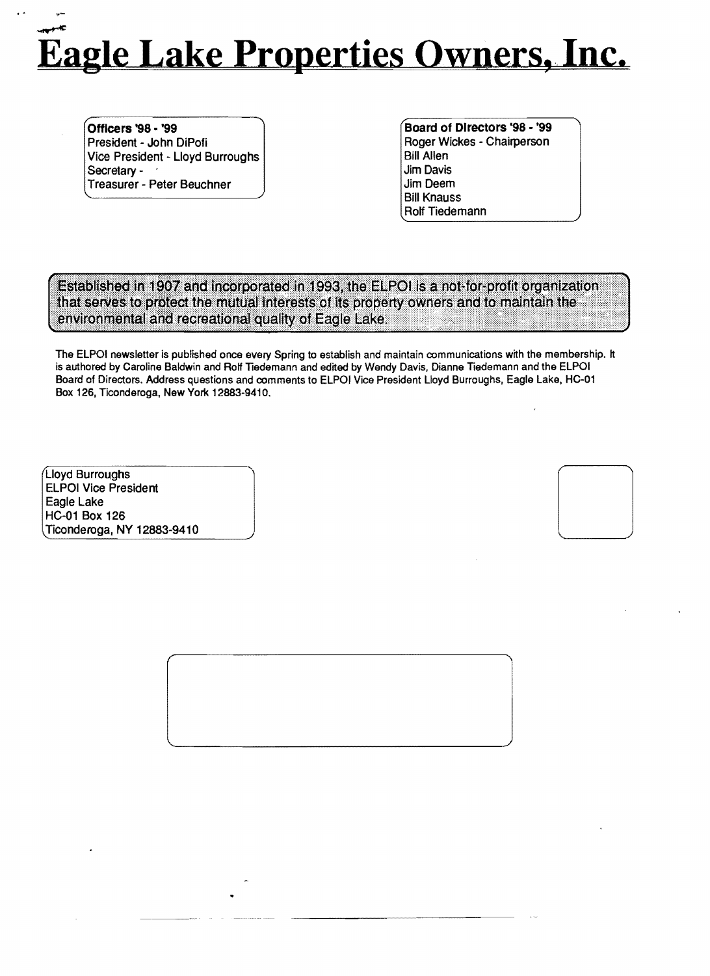# ~ **Eagle Lake Properties Owners, Inc.**

Officers '98 • '99 President - John DiPofi Vice President - Lloyd Burroughs Secretary -Treasurer - Peter Beuchner

Board of Directors '98 - '99 Roger Wickes - Chairperson **Bill Allen** Jim Davis Jim Deem Bill Knauss Rolf Tiedemann

Established in 1907 and incorporated in 1993, the ELPOI is a not-for-profit organization. that serves to protect the mutual interests of its property owners and to maintain the environmental and recreational quality of Eagle Lake.

The ELPOI newsletter is published once every Spring to establish and maintain communications with the membership. It is authored by Caroline Baldwin and Rolf Tiedemann and edited by Wendy Davis, Dianne Tiedemann and the ELPOI Board of Directors. Address questions and comments to ELPOI Vice President Lloyd Burroughs, Eagle Lake, HC-01 Box 126, Ticonderoga, New York 12883-9410.

Lloyd Burroughs ELPOI Vice President Eagle Lake HC-01 Box 126 Ticonderoga. NY 12883-9410

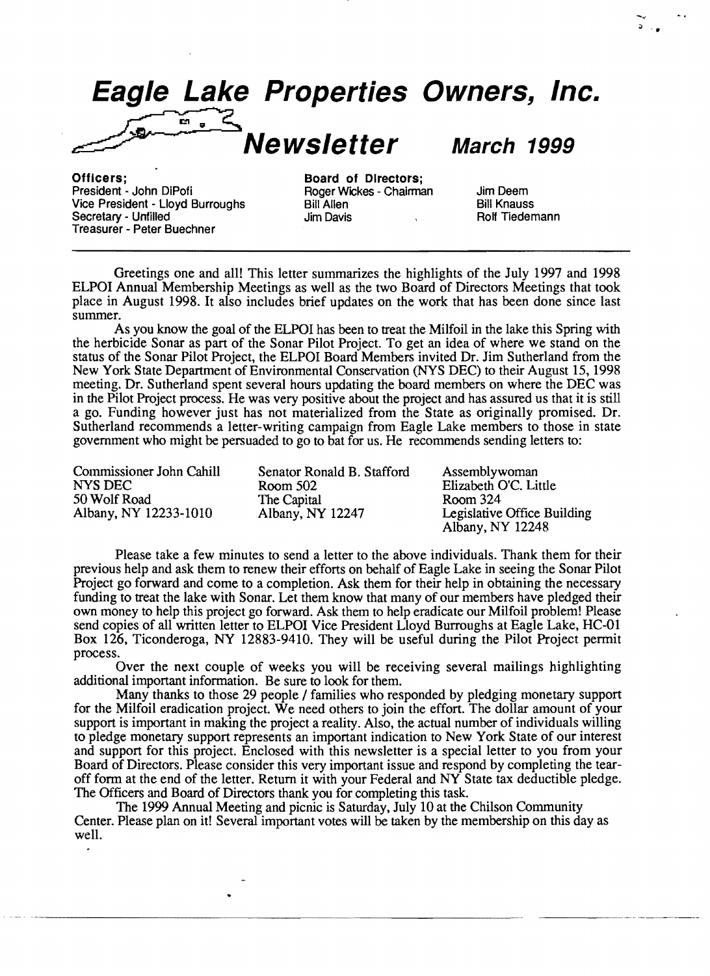**Eagle Lake Properties Owners, Inc.**  $\sum_{n=1}^{\infty}$ 

**Newsletter March 1999** 

;; ...

Officers; Board of Directors; Vice President - Lloyd Burroughs Bill Allen Bill Annuss<br>
Secretary - Unfilled Burroughs Bill Allen Bavis Bill Knauss Rolf Tiedemann Secretary - Unfilled Treasurer - Peter Buechner

Poger Wickes - Chairman Jim Deem<br>1998 - Bill Allen

Greetings one and all! This letter summarizes the highlights of the July 1997 and 1998 ELPOI Annual Membership Meetings as well as the two Board of Directors Meetings that took place in August 1998. It also includes brief updates on the work that has been done since last summer.

As you know the goal of the ELPOI has been to treat the Milfoil in the lake this Spring with the herbicide Sonar as part of the Sonar Pilot Project. To get an idea of where we stand on the status of the Sonar Pilot Project, the ELPOI Board Members invited Dr. Jim Sutherland from the New York State Department of Environmental Conservation (NYS DEC) to their August 15, 1998 meeting. Dr. Sutherland spent several hours updating the board members on where the DEC was in the Pilot Project process. He was very positive about the project and has assured us that it is still a go. Funding however just has not materialized from the State as originally promised. Dr. Sutherland recommends a letter-writing campaign from Eagle Lake members to those in state government who might be persuaded to go to bat for us. He recommends sending letters to:

| Commissioner John Cahill | Senator Ronald B. Stafford | Assemblywoman                                   |
|--------------------------|----------------------------|-------------------------------------------------|
| NYS DEC                  | Room 502                   | Elizabeth O'C. Little                           |
| 50 Wolf Road             | The Capital                | Room 324                                        |
| Albany, NY 12233-1010    | Albany, NY 12247           | Legislative Office Building<br>Albany, NY 12248 |

Please take a few minutes to send a letter to the above individuals. Thank them for their previous help and ask them to renew their efforts on behalf of Eagle Lake in seeing the Sonar Pilot Project go forward and come to a completion. Ask them for their help in obtaining the necessary funding to treat the lake with Sonar. Let them know that many of our members have pledged their own money to help this project go forward. Ask them to help eradicate our Milfoil problem! Please send copies of all written letter to ELPOI Vice President Lloyd Burroughs at Eagle Lake, HC-Dl Box 126, Ticonderoga, NY 12883-9410. They will be useful during the Pilot Project permit process.

Over the next couple of weeks you will be receiving several mailings highlighting additional important information. Be sure to look for them.

Many thanks to those 29 people / families who responded by pledging monetary support for the Milfoil eradication project. We need others to join the effort. The dollar amount of your support is important in making the project a reality. Also, the actual number of individuals willing to pledge monetary support represents an important indication to New York State of our interest and support for this project. Enclosed with this newsletter is a special letter to you from your Board of Directors. Please consider this very important issue and respond by completing the tearoff form at the end of the letter. Return it with your Federal and NY State tax deductible pledge. The Officers and Board of Directors thank you for completing this task.

The 1999 Annual Meeting and picnic is Saturday, July 10 at the Chilson Community Center. Please plan on it! Several important votes will be taken by the membership on this day as well.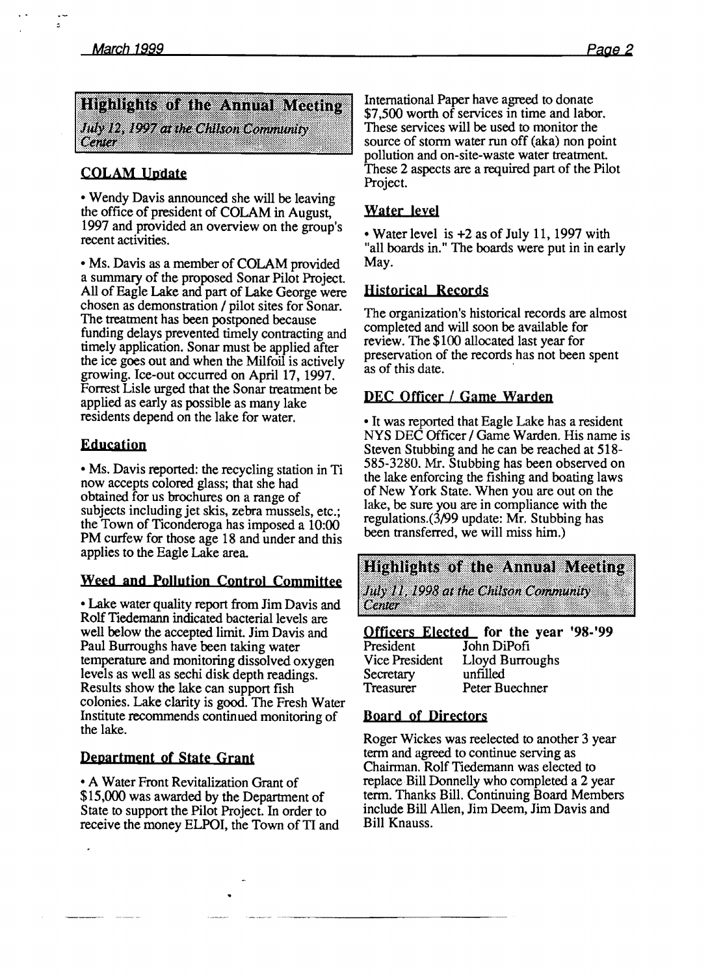$\ddot{\omega}$ 

## Highlights of the Annual Mecting July 12, 1997 at the Chilson Community Center

## COLAM Update

• Wendy Davis announced she will be leaving the office of president of COLAM in August, 1997 and provided an overview on the group's recent activities.

• Ms. Davis as a member of COLAM provided a summary of the proposed Sonar Pilot Project. All of Eagle Lake and part of Lake George were chosen as demonstration / pilot sites for Sonar. The treatment has been postponed because funding delays prevented timely contracting and timely application. Sonar must be applied after the ice goes out and when the Milfoil is actively growing. Ice-out occurred on April 17. 1997. Forrest Lisle urged that the Sonar treatment be applied as early as possible as many lake residents depend on the lake for water.

#### Education

• Ms. Davis reported: the recycling station in Ti now accepts colored glass; that she had obtained for us brochures on a range of subjects including jet skis, zebra mussels, etc.; the Town of Ticonderoga has imposed a 10:00 PM curfew for those age 18 and under and this applies to the Eagle Lake area.

## Weed and Pollution Control Committee

• Lake water quality report from Jim Davis and Rolf Tiedemann indicated bacterial levels are well below the accepted limit. Jim Davis and Paul Burroughs have been taking water temperature and monitoring dissolved oxygen levels as well as sechi disk depth readings. Results show the lake can support fish colonies. Lake clarity is good. The Fresh Water Institute recommends continued monitoring of the lake.

## Department of State Grant

• A Water Front Revitalization Grant of \$15,000 was awarded by the Departtnent of State to support the Pilot Project. In order to receive the money ELPOI, the Town of TI and International Paper have agreed to donate \$7,500 worth of services in time and labor. These services will be used to monitor the source of storm water run off (aka) non point pollution and on-site-waste water treatment. These 2 aspects are a required part of the Pilot Project.

#### Water leyel

• Water level is +2 as of July II, 1997 with "all boards in." The boards were put in in early May.

#### Historical Records

The organization's historical records are almost completed and will soon be available for review. The \$100 allocated last year for preservation of the records has not been spent as of this date.

## DEC Officer / Game Warden

• It was reported that Eagle Lake has a resident NYS DEC Officer / Game Warden. His name is Steven Stubbing and he can be reached at 518 585-3280. Mr. Stubbing has been observed on the lake enforcing the fishing and boating laws of New York State. When you are out on the lake, be sure you are in compliance with the regulations.(3/99 update: Mr. Stubbing has been transferred, we will miss him.)

**Highlights of the Annual Meeting** July 11, 1998 at the Chilson Community **Center** 

**Officers Elected for the year '98-'99**<br>President John DiPofi John DiPofi

| .              |  |  |
|----------------|--|--|
| Vice President |  |  |
| Secretary      |  |  |
| Freasurer      |  |  |
|                |  |  |

Lloyd Burroughs unfilled Peter Buechner

#### Board of Directors

Roger Wickes was reelected to another 3 year term and agreed to continue serving as Chairman. Rolf Tiedemann was elected to replace Bill Donnelly who completed a 2 year term. Thanks Bill. Continuing Board Members include Bill Allen, Jim Deem, Jim Davis and Bill Knauss.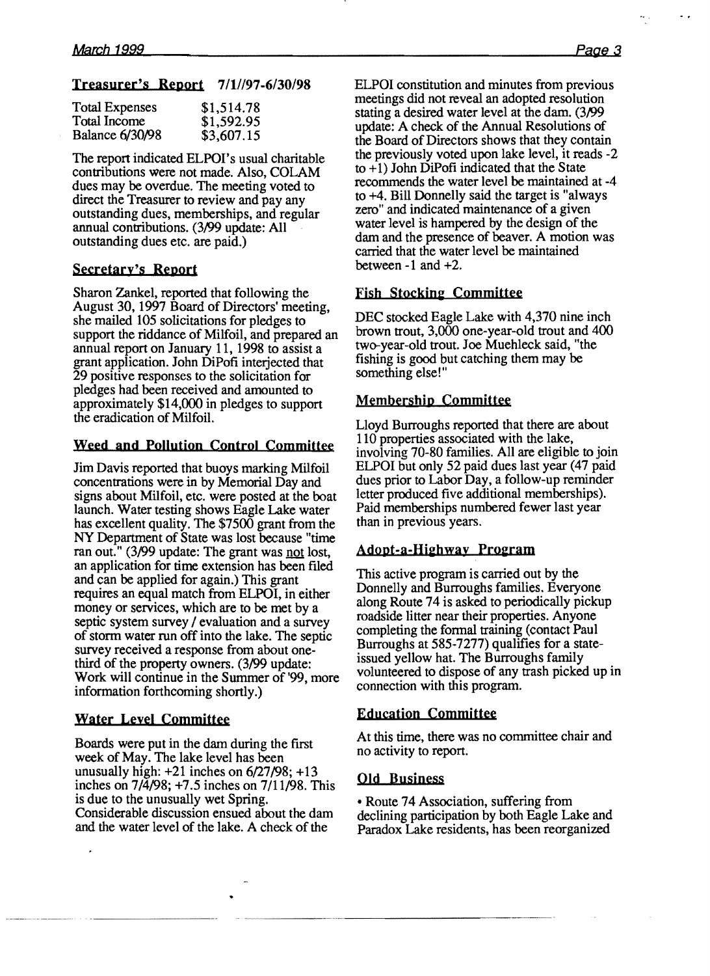#### Treasurer's Report 7/1//97-6/30/98

| <b>Total Expenses</b>  | \$1,514.78 |
|------------------------|------------|
| Total Income           | \$1,592.95 |
| <b>Balance 6/30/98</b> | \$3,607.15 |

The report indicated ELPOI's usual charitable contributions were not made. Also, COLAM dues may be overdue. The meeting voted to direct the Treasurer to review and pay any outstanding dues, memberships, and regular annual contributions. (3/99 update: All outstanding dues etc. are paid.)

#### Secretary's Report

Sharon Zankel, reported that following the August 30, 1997 Board of Directors' meeting, she mailed 105 solicitations for pledges to support the riddance of Milfoil, and prepared an annual report on January 11, 1998 to assist a grant application. John DiPofi interjected that 29 positive responses to the solicitation for pledges had been received and amounted to approximately \$14,000 in pledges to support the eradication of Milfoil.

## Weed and Pollution Control Committee

Jim Davis reported that buoys marking Milfoil concentrations were in by Memorial Day and signs about MUfoil. etc. were posted at the boat launch. Water testing shows Eagle Lake water has excellent quality. The \$7500 grant from the NY Department of State was lost because "time ran out." (3/99 update: The grant was not lost, an application for time extension has been filed and can be applied for again.) This grant requires an equal match from ELPOI, in either money or services, which are to be met by a septic system survey / evaluation and a survey of stonn water run off into the lake. The septic survey received a response from about onethird of the property owners. (3/99 update: Work will continue in the Summer of '99, more information forthcoming shortly.)

## Water Leyel Committee

Boards were put in the dam during the first week of May. The lake level has been unusually high:  $+21$  inches on  $6/27/98$ ;  $+13$ inches on 7/4/98; +7.5 inches on 7/11/98. This is due to the unusually wet Spring. Considerable discussion ensued about the dam and the water level of the lake. A check of the

ELPOI constitution and minutes from previous meetings did not reveal an adopted resolution stating a desired water level at the dam. (3/99 update: A check of the Annual Resolutions of the Board of Directors shows that they contain the previously voted upon lake level, it reads-2 to  $+1$ ) John DiPofi indicated that the State recommends the water level be maintained at -4 to +4. Bill Donnelly said the target is "always zero" and indicated maintenance of a given water level is hampered by the design of the dam and the presence of beaver. A motion was carried that the water level be maintained between  $-1$  and  $+2$ .

#### Fish Stocking Committee

DEC stocked Eagle Lake with 4,370 nine inch brown trout, 3,000 one-year-old trout and 400 two-year-old trout. Joe Muehleck said, "the fishing is good but catching them may be something else!"

## Membership Committee

Lloyd Burroughs reported that there are about 110 properties associated with the lake, involving 70-80 families. All are eligible to join ELPOI but only 52 paid dues last year (47 paid dues prior to Labor Day, a follow-up reminder letter produced five additional memberships). Paid memberships numbered fewer last year than in previous years.

#### Adopt-a-Highway Program

This active program is carried out by the Donnelly and Burroughs families. Everyone along Route 74 is asked to periodically pickup roadside litter near their properties. Anyone completing the formal training (contact Paul Burroughs at 585-7277) qualifies for a stateissued yellow hat. The Burroughs family volunteered to dispose of any trash picked up in connection with this program.

#### Education Committee

At this time, there was no committee chair and no activity to report.

## **Old** Busipess

• Route 74 Association, suffering from declining participation by both Eagle Lake and Paradox Lake residents. has been reorganized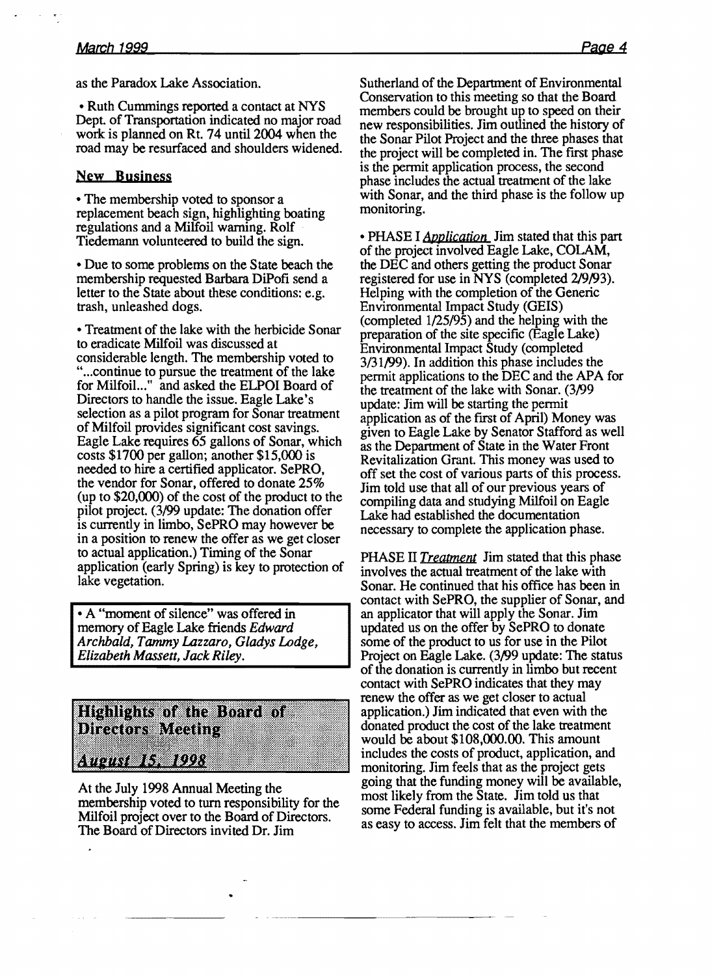as the Paradox Lake Association.

• Ruth Cummings reported a contact at NYS Dept. of Transportation indicated no major road work is planned on Rt. 74 until 2004 when the road may be resurfaced and shoulders widened.

#### New Business

• The membership voted to sponsor a replacement beach sign, highlighting boating regulations and a Milfoil warning. Rolf . Tiedemann volunteered to build the sign.

• Due to some problems on the State beach the membership requested Barbara DiPofi send a letter to the State about these conditions: e.g. trash, unleashed dogs.

• Treatment of the lake with the herbicide Sonar to eradicate Milfoil was discussed at considerable length. The membership voted to "... continue to pursue the treatment of the lake for Milfoil..." and asked the ELPOI Board of Directors to handle the issue. Eagle Lake's selection as a pilot program for Sonar treatment of Milfoil provides significant cost savings. Eagle Lake requires 65 gallons of Sonar, which costs \$1700 per gallon; another \$15,000 is needed to hire a certified applicator. SePRO, the vendor for Sonar, offered to donate 25% (up to \$20,(00) of the cost of the product to the pilot project. (3/99 update: The donation offer is currently in limbo, SePRO may however be in a position to renew the offer as we get closer to actual application.) Timing of the Sonar application (early Spring) is key to protection of lake vegetation.

• A "moment of silence" was offered in memory of Eagle Lake friends *Edward Archbald, Tammy Lazzaro, Gladys Lodge, Elizabeth Massett, Jack Riley.* 



At the July 1998 Annual Meeting the membership voted to turn responsibility for the Milfoil project over to the Board of Directors. The Board of Directors invited Dr. Jim

Sutherland of the Department of Environmental Conservation to this meeting so that the Board members could be brought up to speed on their new responsibilities. Jim outlined the history of the Sonar Pilot Project and the three phases that the project will be completed in. The first phase is the permit application process, the second phase includes the actual treatment of the lake with Sonar, and the third phase is the follow up monitoring.

• PHASE I *Application* Jim stated that this part of the project involved Eagle Lake, COLAM, the DEC and others getting the product Sonar registered for use in NYS (completed 2/9/93). Helping with the completion of the Generic Environmental Impact Study (GElS) (completed 1/25/95) and the helping with the preparation of the site specific (Eagle Lake) Environmental Impact Study (completed 3/31/99). In addition this phase includes the permit applications to the DEC and the APA for the treatment of the lake with Sonar. (3/99 update: Jim will be starting the permit application as of the first of April) Money was given to Eagle Lake by Senator Stafford as well as the Department of State in the Water Front Revitalization Grant. This money was used to off set the cost of various parts of this process. Jim told use that all of our previous years of compiling data and studying Milfoil on Eagle Lake had established the documentation necessary to complete the application phase.

PHASE II *Treatment* Jim stated that this phase involves the actual treatment of the lake with Sonar. He continued that his office has been in contact with SePRO, the supplier of Sonar, and an applicator that will apply the Sonar. Jim updated us on the offer by SePRO to donate some of the product to us for use in the Pilot Project on Eagle Lake. (3/99 update: The status of the donation is currently in limbo but recent contact with SePRO indicates that they may renew the offer as we get closer to actual application.) Jim indicated that even with the donated product the cost of the lake treatment would be about \$108,000.00. This amount includes the costs of product. application, and monitoring. Jim feels that as the project gets going that the funding money will be available, most likely from the State. Jim told us that some Federal funding is available. but it's not as easy to access. Jim felt that the members of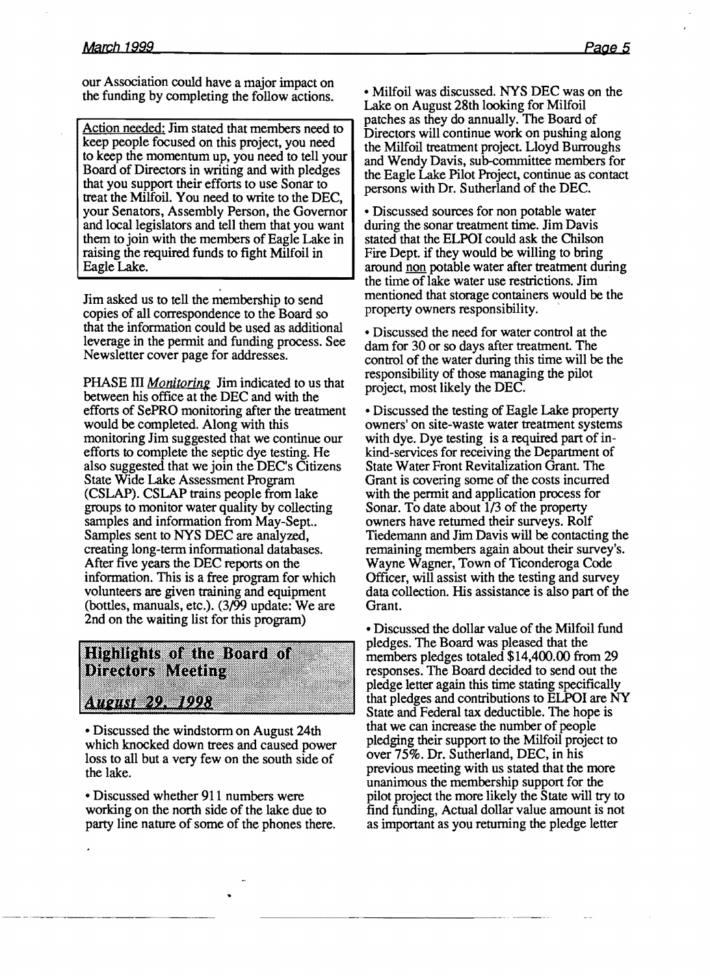our Association could have a major impact on the funding by completing the follow actions.

Action needed: Jim stated that members need to keep people focused on this project, you need to keep the momentum up, you need to tell your Board of Directors in writing and with pledges that you support their efforts to use Sonar to treat the Milfoil. You need to write to the DEC, your Senators, Assembly Person, the Governor and local legislators and tell them that you want them to join with the members of Eagle Lake in raising the required funds to fight Milfoil in Eagle Lake.

Jim asked us to tell the membership to send copies of all correspondence to the Board so that the information could be used as additional leverage in the permit and funding process. See Newsletter cover page for addresses.

PHASE III *Monitoring* Jim indicated to us that between his office at the DEC and with the efforts of SePRO monitoring after the treatment would be completed. Along with this monitoring Jim suggested that we continue our efforts to complete the septic dye testing. He also suggested that we join the DEC's Citizens State Wide Lake Assessment Program (CSLAP). CSLAP trains people from lake groups to monitor water quality by collecting samples and information from May-Sept.. Samples sent to NYS DEC are analyzed, creating long-term informational databases. After five years the DEC reports on the information. This is a free program for which volunteers are given training and equipment (bottles, manuals, etc.). (3/99 update: We are 2nd on the waiting list for this program)

**Highlights of the Board of Directors Meeting** : 07061 292 1993

• Discussed the windstorm on August 24th which knocked down trees and caused power loss to all but a very few on the south side of the lake.

• Discussed whether 911 numbers were working on the north side of the lake due to party line nature of some of the phones there.

• Milfoil was discussed. NYS DEC was on the Lake on August 28th looking for Milfoil patches as they do annually. The Board of Directors will continue work on pushing along the Milfoil treatment project. Lloyd Burroughs and Wendy Davis, sub-committee members for the Eagle Lake Pilot Project, continue as contact persons with Dr. Sutherland of the DEC.

• Discussed sources for non potable water during the sonar treatment time. Jim Davis stated that the ELPOI could ask the Chilson Fire Dept. if they would be willing to bring around non potable water after treatment during the time of lake water use restrictions. Jim mentioned that storage containers would be the property owners responsibility.

• Discussed the need for water control at the dam for 30 or so days after treatment. The control of the water during this time will be the responsibility of those managing the pilot project, most likely the DEC.

• Discussed the testing of Eagle Lake property owners' on site-waste water treatment systems with dye. Dye testing is a required part of inkind-services for receiving the Department of State Water Front Revitalization Grant. The Grant is covering some of the costs incurred with the permit and application process for Sonar. To date about 1/3 of the property owners have returned their surveys. Rolf Tiedemann and Jim Davis will be contacting the remaining members again about their survey's. Wayne Wagner, Town of Ticonderoga Code Officer, will assist with the testing and survey data collection. His assistance is also part of the Grant.

• Discussed the dollar value of the Milfoil fund pledges. The Board was pleased that the members pledges totaled \$14,400.00 from 29 responses. The Board decided to send out the pledge letter again this time stating specifically that pledges and contributions to ELPOI are NY State and Federal tax deductible. The hope is that we can increase the number of people pledging their support to the Milfoil project to over 75%. Dr. Sutherland, DEC, in his previous meeting with us stated that the more unanimous the membership support for the pilot project the more likely the State will try to find funding, Actual dollar value amount is not as important as you returning the pledge letter

-\_....................\_----------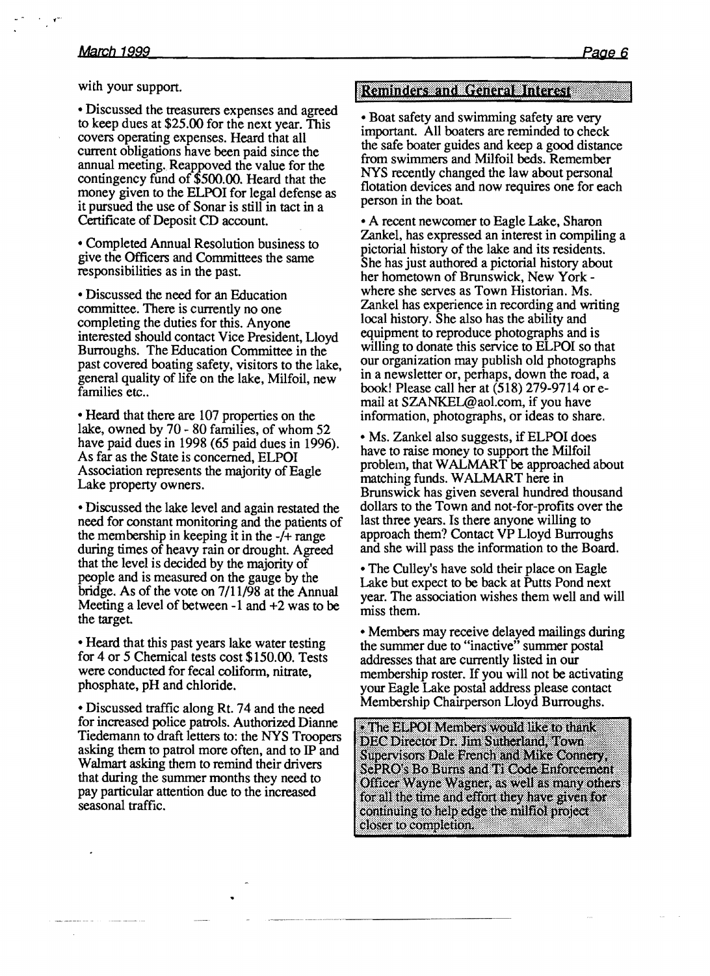with your support.

• Discussed the treasurers expenses and agreed to keep dues at  $$25.00$  for the next year. This covers operating expenses. Heard that all current obligations have been paid since the annual meeting. Reappoved the value for the contingency fund of \$500.00. Heard that the money given to the ELPOI for legal defense as it pursued the use of Sonar is still in tact in a Certificate of Deposit CD account.

• Completed Annual Resolution business to give the Officers and Committees the same responsibilities as in the past.

• Discussed the need for an Education committee. There is currently no one completing the duties for this. Anyone mterested should contact Vice President, Lloyd Burroughs. The Education Committee in the past covered boating safety, visitors to the lake general quality of life on the lake, Milfoil, new families etc..

• Heard that there are 107 properties on the lake, owned by  $70 - 80$  families, of whom  $52$ have paid dues in 1998 (65 paid dues in 1996). As far as the State is concerned, ELPOI Association represents the majority of Eagle Lake property owners.

• Discussed the lake level and again restated the need for constant monitoring and the patients of the membership in keeping it in the -/+ range during times of heavy rain or drought. Agreed that the level is decided by the majority of people and is measured on the gauge by the bridge. As of the vote on 7/11/98 at the Annual Meeting a level of between -1 and +2 was to be the target

• Heard that this past years lake water testing for 4 or 5 Chemical tests cost \$150.00. Tests were conducted for fecal coliform, nitrate, phosphate, pH and chloride.

• Discussed traffic along Rt. 74 and the need for increased police patrols. Authorized Dianne Tiedemann to draft letters to: the NYS Troopers asking them to patrol more often, and to IP and Walmart asking them to remind their drivers that during the summer months they need to pay particular attention due to the increased seasonal traffic.

#### Reminders and General Interest

• Boat safety and swimming safety are very important. All boaters are reminded to check the safe boater guides and keep a good distance from swimmers and Milfoil beds. Remember NYS recently changed the law about personal flotation devices and now requires one for each person in the boat.

• A recent newcomer to Eagle Lake, Sharon Zankel, has expressed an interest in compiling a pictorial history of the lake and its residents. She has just authored a pictorial history about her hometown of Brunswick, New York where she serves as Town Historian. Ms. Zankel has experience in recording and writing local history. She also has the ability and equipment to reproduce photographs and is willing to donate this service to ELPOI so that our organization may publish old photographs m a newsletter or, perhaps, down the road, a book! Please call her at (518) 279-9714 or email at SZANKEL@aol.com, if you have information, photographs, or ideas to share.

• Ms. Zankel also suggests, if ELPOI does have to raise money to support the Milfoil problem, that WALMART be approached about matching funds. W ALMART here in Brunswick has given several hundred thousand dollars to the Town and not-for-profits over the last three years. Is there anyone willing to approach them? Contact VP Lloyd Burroughs and she will pass the information to the Board.

• The Culley's have sold their place on Eagle Lake but expect to be back at Putts Pond next year. The association wishes them well and will miss them.

• Members may receive delayed mailings during the summer due to "inactive" summer postal addresses that are currently listed in our membership roster. If you will not be activating your Eagle Lake postal address please contact Membership Chairperson Lloyd Burroughs.

• The ELPOI Members would like to thank DEC Director Dr. Jim Sutherland, Town Supervisors Dale French and Mike Connery, SePRO's Bo Burns and Ti Code Enforcement Officer Wayne Wagner, as well as many others for all the time and effort they have given for continuing to help edge the milfiel project closer to completion.

--.... --.---.---~-- ..--------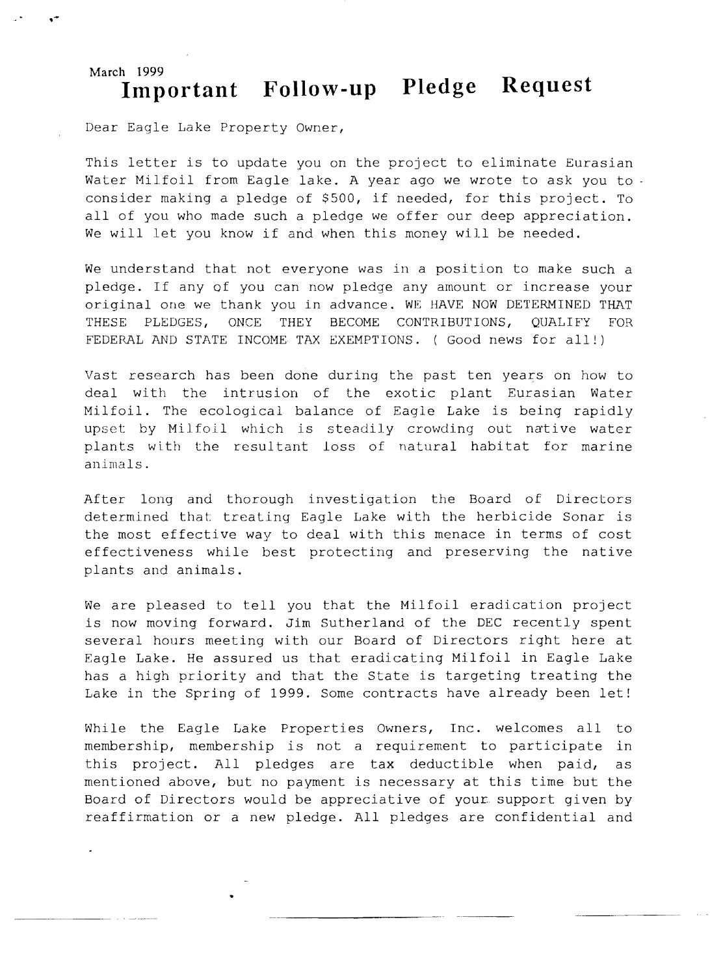# **March 1999**  Important Follow-up Pledge Request

Dear Eagle Lake Property Owner,

This letter is to update you on the project to eliminate Eurasian Water Milfoil from Eagle lake. A year ago we wrote to ask you to consider making a pledge of \$500, if needed, for this project. To all of you who made such a pledge we offer our deep appreciation. We will let you know if and when this money will be needed.

We understand that not everyone was in a position to make such a pledge. If any of you can now pledge any amount or increase your original one we thank you in advance. WE HAVE NOW DETERMINED THAT THESE PLEDGES, ONCE THEY BECOME CONTRIBUTIONS, QUALIFY FOR FEDERAL AND STATE INCOME TAX EXEMPTIONS. ( Good news for all!)

Vast research has been done during the past ten years on how to deal with the intrusion of the exotic plant Eurasian Water Milfoil. The ecological balance of Eagle Lake is being rapidly upset by Milfoil which is steadily crowding out native water plants with the resultant loss of natural habitat for marine animals.

After long and thorough investigation the Board of Directors determined that treating Eagle Lake with the herbicide Sonar is the most effective way to deal with this menace in terms of cost effectiveness while best protecting and preserving the native plants and animals.

We are pleased to tell you that the Milfoil eradication project is now moving forward. Jim Sutherland of the DEC recently spent several hours meeting with our Board of Directors right here at Eagle Lake. He assured us that eradicating Milfoil in Eagle Lake has a high priority and that the State is targeting treating the Lake in the Spring of 1999. Some contracts have already been let!

While the Eagle Lake Properties Owners, Inc. welcomes all to membership, membership is not a requirement to participate in this project. All pledges are tax deductible when paid, as mentioned above, but no payment is necessary at this time but the Board of Directors would be appreciative of your support given by reaffirmation or a new pledge. All pledges are confidential and